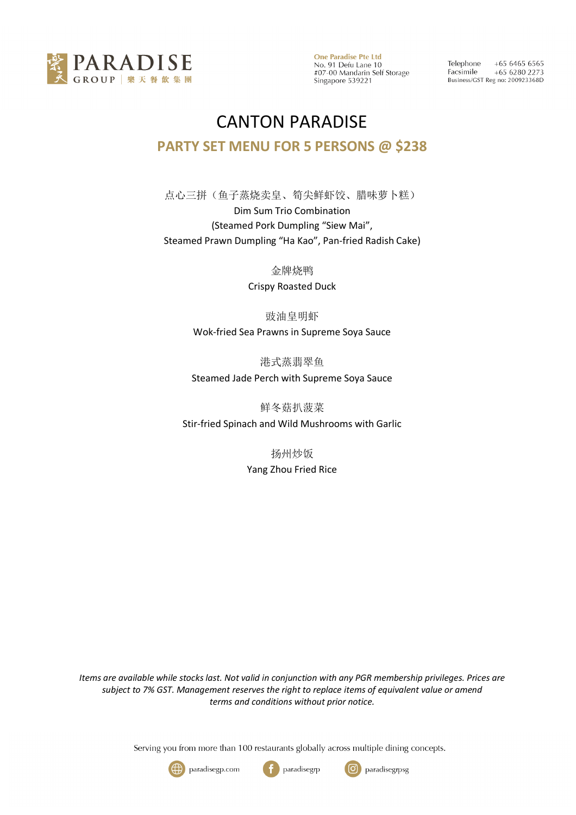

**One Paradise Pte Ltd** No. 91 Defu Lane 10<br>#07-00 Mandarin Self Storage Singapore 539221

Telephone  $+6564656565$ Facsimile  $+6562802273$ Business/GST Reg no: 200923368D

## CANTON PARADISE **PARTY SET MENU FOR 5 PERSONS @ \$238**

点心三拼(鱼子蒸烧卖皇、筍尖鲜虾饺、腊味萝卜糕) Dim Sum Trio Combination (Steamed Pork Dumpling "Siew Mai", Steamed Prawn Dumpling "Ha Kao", Pan-fried Radish Cake)

金牌烧鸭

Crispy Roasted Duck

豉油皇明虾 Wok-fried Sea Prawns in Supreme Soya Sauce

港式蒸翡翠鱼 Steamed Jade Perch with Supreme Soya Sauce

鲜冬菇扒菠菜 Stir-fried Spinach and Wild Mushrooms with Garlic

> 扬州炒饭 Yang Zhou Fried Rice

*Items are available while stocks last. Not valid in conjunction with any PGR membership privileges. Prices are subject to 7% GST. Management reserves the right to replace items of equivalent value or amend terms and conditions without prior notice.*

Serving you from more than 100 restaurants globally across multiple dining concepts.





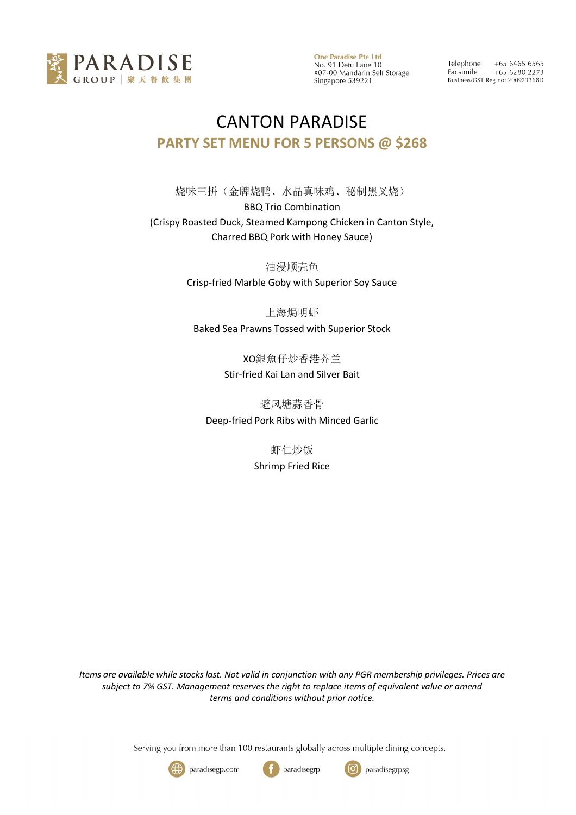

**One Paradise Pte Ltd** No. 91 Defu Lane 10<br>#07-00 Mandarin Self Storage Singapore 539221

Telephone  $+6564656565$ Facsimile  $+6562802273$ Business/GST Reg no: 200923368D

## CANTON PARADISE **PARTY SET MENU FOR 5 PERSONS @ \$268**

烧味三拼(金牌烧鸭、水晶真味鸡、秘制黑叉烧) BBQ Trio Combination (Crispy Roasted Duck, Steamed Kampong Chicken in Canton Style, Charred BBQ Pork with Honey Sauce)

> 油浸顺壳鱼 Crisp-fried Marble Goby with Superior Soy Sauce

上海焗明虾 Baked Sea Prawns Tossed with Superior Stock

> XO銀魚仔炒香港芥兰 Stir-fried Kai Lan and Silver Bait

避风塘蒜香骨 Deep-fried Pork Ribs with Minced Garlic

> 虾仁炒饭 Shrimp Fried Rice

*Items are available while stocks last. Not valid in conjunction with any PGR membership privileges. Prices are subject to 7% GST. Management reserves the right to replace items of equivalent value or amend terms and conditions without prior notice.*

Serving you from more than 100 restaurants globally across multiple dining concepts.





ြ

paradisegrpsg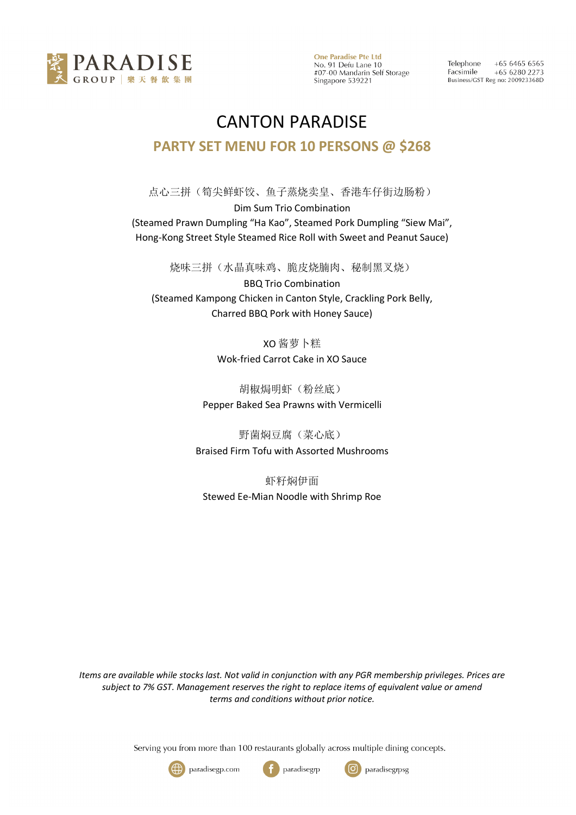

**One Paradise Pte Ltd** No. 91 Defu Lane 10 #07-00 Mandarin Self Storage Singapore 539221

 $+6564656565$ Telephone Facsimile +65 6280 2273 Business/GST Reg no: 200923368D

## CANTON PARADISE **PARTY SET MENU FOR 10 PERSONS @ \$268**

点心三拼(筍尖鲜虾饺、鱼子蒸烧卖皇、香港车仔街边肠粉) Dim Sum Trio Combination (Steamed Prawn Dumpling "Ha Kao", Steamed Pork Dumpling "Siew Mai", Hong-Kong Street Style Steamed Rice Roll with Sweet and Peanut Sauce)

烧味三拼(水晶真味鸡、脆皮烧腩肉、秘制黑叉烧) BBQ Trio Combination (Steamed Kampong Chicken in Canton Style, Crackling Pork Belly, Charred BBQ Pork with Honey Sauce)

> XO 酱萝卜糕 Wok-fried Carrot Cake in XO Sauce

胡椒焗明虾(粉丝底) Pepper Baked Sea Prawns with Vermicelli

野菌焖豆腐(菜心底) Braised Firm Tofu with Assorted Mushrooms

虾籽焖伊面 Stewed Ee-Mian Noodle with Shrimp Roe

*Items are available while stocks last. Not valid in conjunction with any PGR membership privileges. Prices are subject to 7% GST. Management reserves the right to replace items of equivalent value or amend terms and conditions without prior notice.*

Serving you from more than 100 restaurants globally across multiple dining concepts.